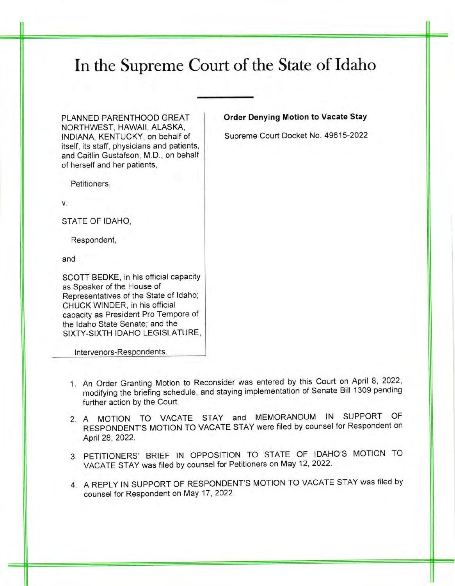## In the Supreme Court of the State of Idaho

PLANNED PARENTHOOD GREAT NORTHWEST, HAWAII, ALASKA, INDIANA, KENTUCKY, on behalf of itself, its staff, physicians and patients, and Caitlin Gustafson, M.D., on behalf of herself and her patients,

Petitioners,

V.

STATE OF IDAHO,

Respondent,

and

SCOTT BEDKE, in his official capacity as Speaker of the House of Representatives of the State of ldaho; CHUCK WINDER, in his official capacity as President Pro Tempore of the ldaho State Senate; and the SIXTY.SIXTH IDAHO LEGISLATURE,

Intervenors-Respondents.

- <sup>1</sup> An Order Granting Motion to Reconsider was entered by this Court on April 8, 2022, modifying the briefing schedule, and staying implementation of Senate Bill 1309 pending further action by the Court.
- 2. A MOTION TO VACATE STAY and MEMORANDUM IN SUPPORT OF RESPONDENT'S MOTION TO VACATE STAY were filed by counsel for Respondent on April 28, 2022.
- 3. PETITIONERS' BRIEF IN OPPOSITION TO STATE OF IDAHO'S MOTION TO VACATE STAY was filed by counsel for Petitioners on May 12, 2022.
- 4. A REPLY IN SUPPORT OF RESPONDENT'S MOTION TO VACATE STAY was filed by counsel for Respondent on May 17,2022.

## Order Denying Motion to Vacate Stay

Supreme Court Docket No. 49615-2022